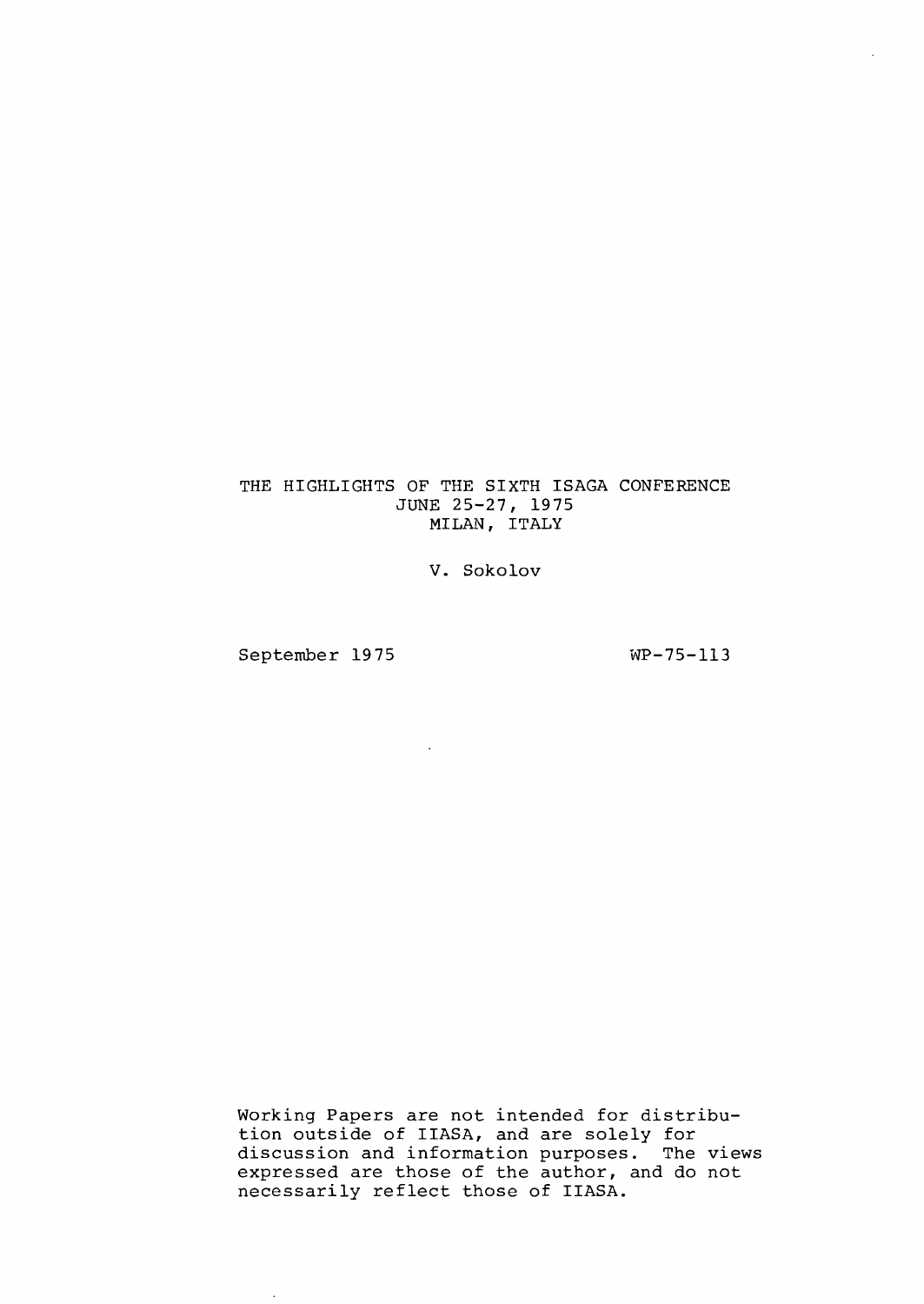THE HIGHLIGHTS OF THE SIXTH ISAGA CONFERENCE JUNE 25-27, 1975 MILAN, ITALY

v. Sokolov

 $\mathcal{L}^{\pm}$ 

September 1975 WP-75-113

 $\ddot{\phantom{a}}$ 

 $\ddot{\phantom{a}}$ 

Working Papers are not intended for distribution outside of IIASA, and are solely for discussion and information purposes. The views expressed are those of the author, and do not necessarily reflect those of IIASA.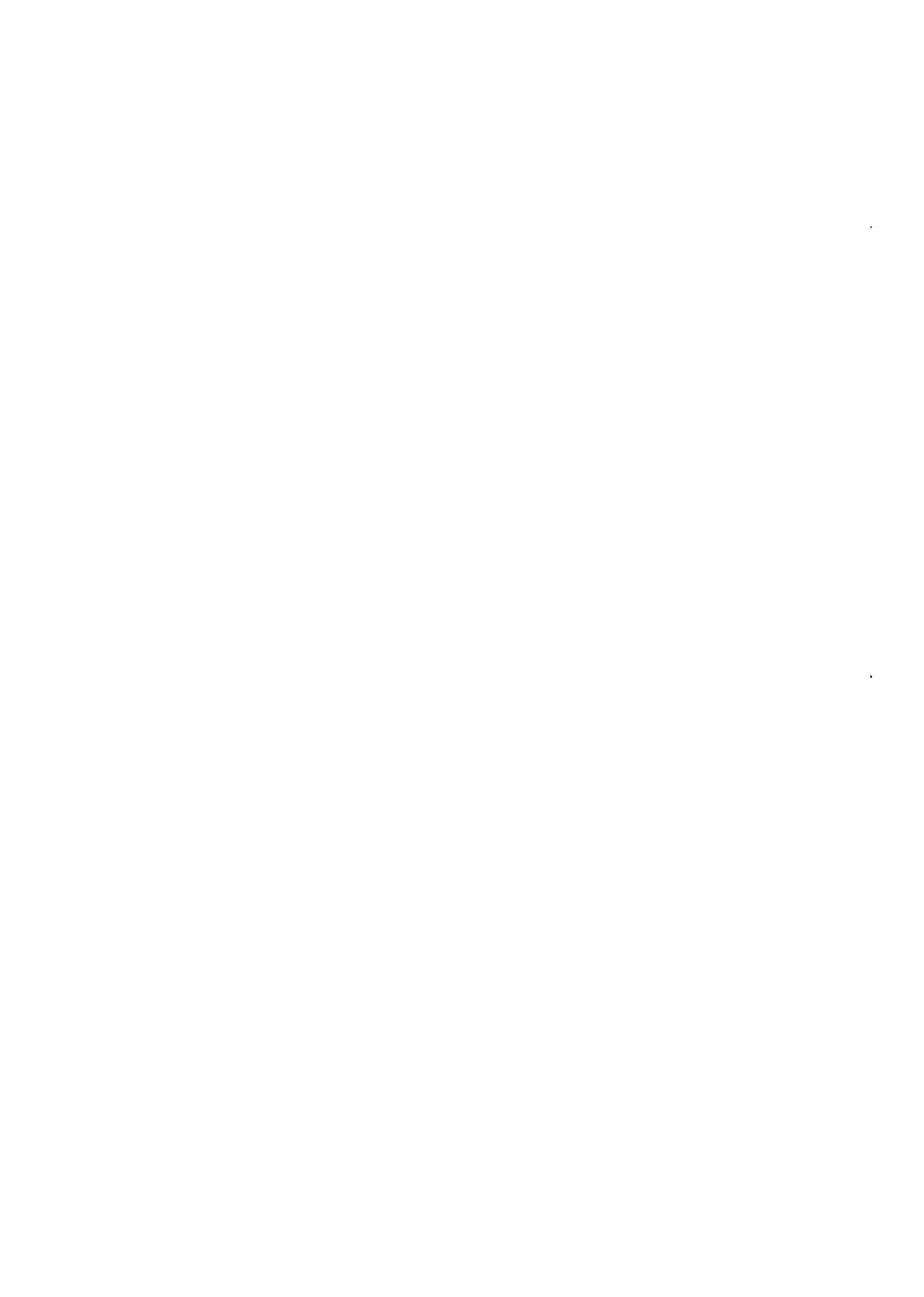$\epsilon$  $\star$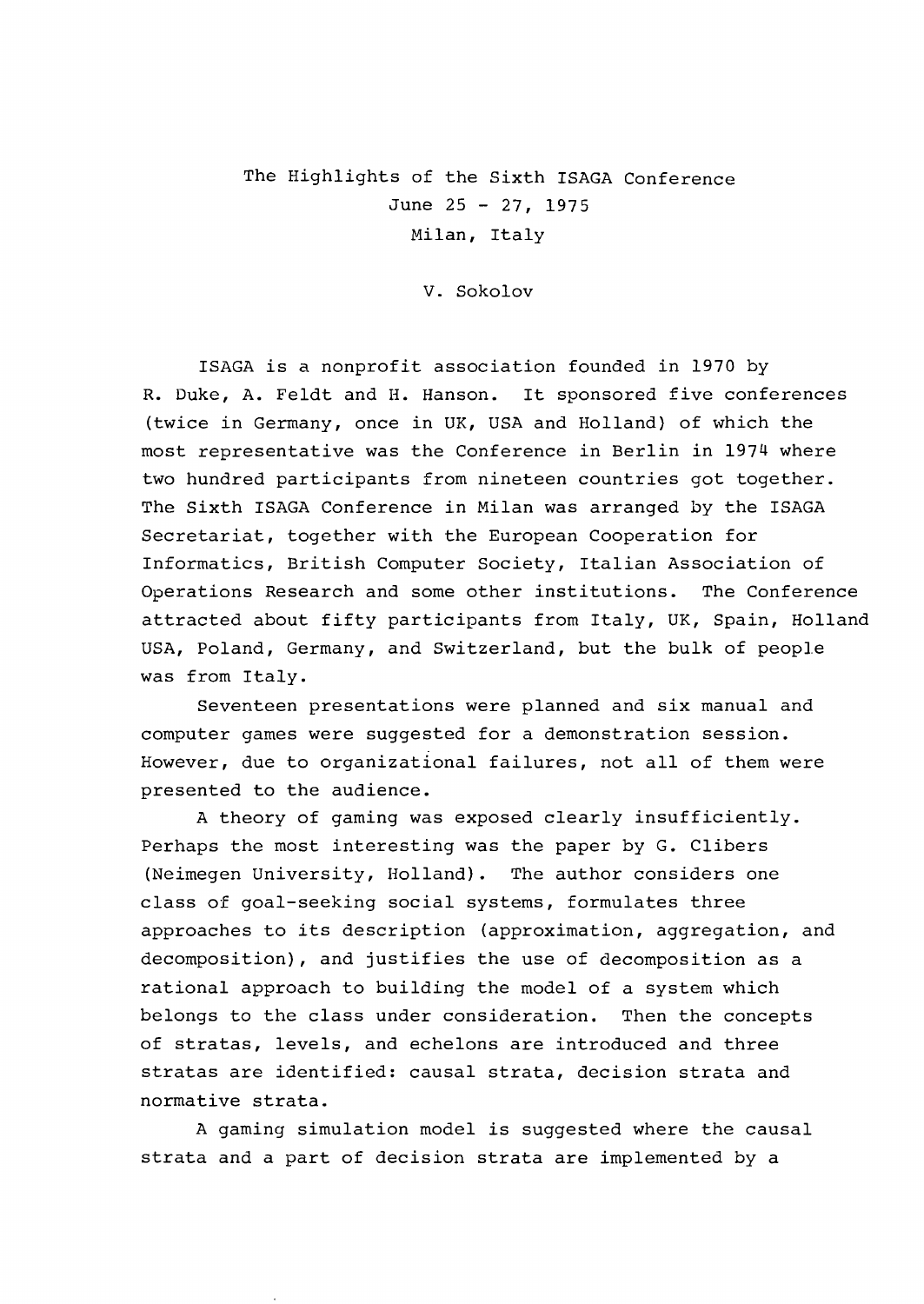## The Highlights of the Sixth ISAGA Conference June 25 - 27, 1975 Milan, Italy

v. Sokolov

ISAGA is <sup>a</sup> nonprofit association founded in 1970 by R. Duke, A. Feldt and H. Hanson. It sponsored five conferences (twice in Germany, once in UK, USA and Holland) of which the most representative was the Conference in Berlin in 1974 where two hundred participants from nineteen countries got together. The Sixth ISAGA Conference in Milan was arranged by the ISAGA Secretariat, together with the European Cooperation for Informatics, British Computer Society, Italian Association of Operations Research and some other institutions. The Conference attracted about fifty participants from Italy, UK, Spain, Holland USA, Poland, Germany, and Switzerland, but the bulk of people was from Italy.

Seventeen presentations were planned and six manual and computer games were suggested for a demonstration session. However, due to organizational failures, not all of them were presented to the audience.

<sup>A</sup> theory of gaming was exposed clearly insufficiently. Perhaps the most interesting was the paper by G. Clibers (Neimegen University, Holland). The author considers one class of goal-seeking social systems, formulates three approaches to its description (approximation, aggregation, and decomposition), and justifies the use of decomposition as <sup>a</sup> rational approach to building the model of a system which belongs to the class under consideration. Then the concepts of stratas, levels, and echelons are introduced and three stratas are identified: causal strata, decision strata and normative strata.

<sup>A</sup> gaming simulation model is suggested where the causal strata and <sup>a</sup> part of decision strata are implemented by <sup>a</sup>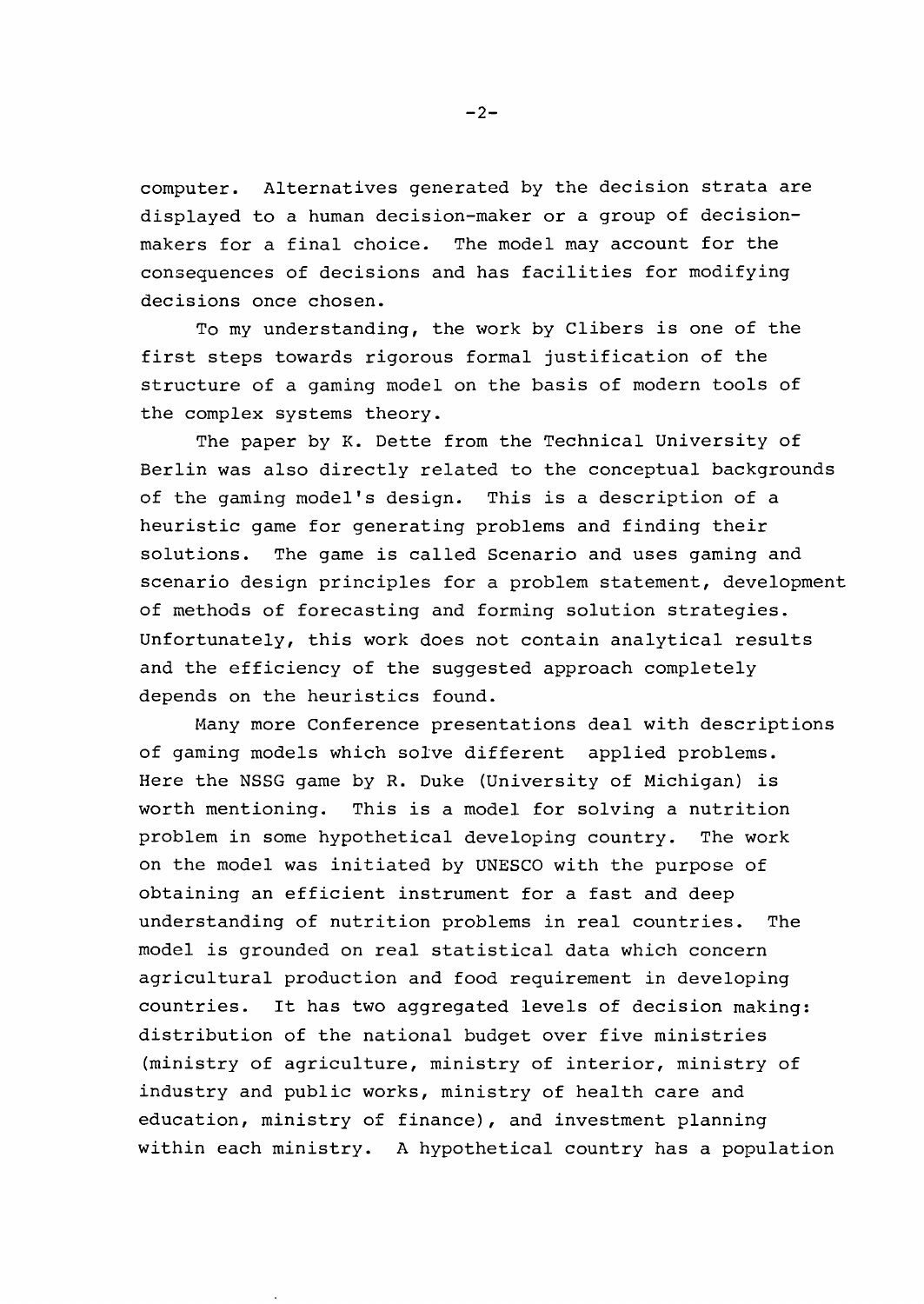computer. Alternatives generated by the decision strata are displayed to a human decision-maker or a group of decisionmakers for <sup>a</sup> final choice. The model may account for the consequences of decisions and has facilities for modifying decisions once chosen.

To my understanding, the work by Clibers is one of the first steps towards rigorous formal justification of the structure of <sup>a</sup> gaming model on the basis of modern tools of the complex systems theory.

The paper by K. Dette from the Technical University of Berlin was also directly related to the conceptual backgrounds of the gaming model's design. This is <sup>a</sup> description of <sup>a</sup> heuristic game for generating problems and finding their sOlutions. The game is called Scenario and uses gaming and scenario design principles for a problem statement, development of methods of forecasting and forming solution strategies. Unfortunately, this work does not contain analytical results and the efficiency of the suggested approach completely depends on the heuristics found.

Many more Conference presentations deal with descriptions of gaming models which solve different applied problems. Here the NSSG game by R. Duke (University of Michigan) is worth mentioning. This is <sup>a</sup> model for solving <sup>a</sup> nutrition problem in some hypothetical developing country. The work on the model was initiated by UNESCO with the purpose of obtaining an efficient instrument for <sup>a</sup> fast and deep understanding of nutrition problems in real countries. The model is grounded on real statistical data which concern agricultural production and food requirement in developing countries. It has two aggregated levels of decision making: distribution of the national budget over five ministries (ministry of agriculture, ministry of interior, ministry of industry and public works, ministry of health care and education, ministry of finance), and investment planning within each ministry. A hypothetical country has a population

 $-2-$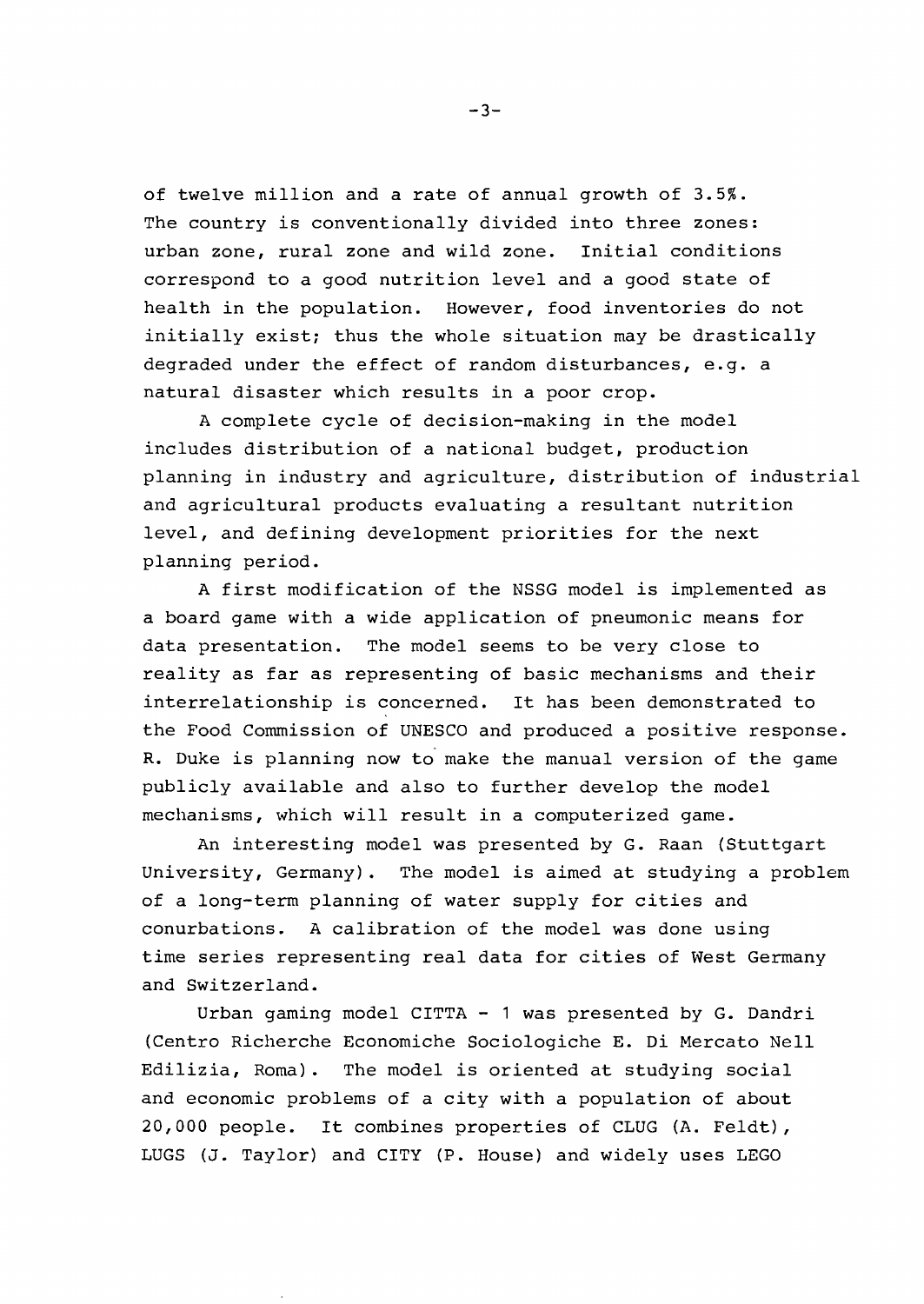of twelve million and <sup>a</sup> rate of annual growth of 3.5%. The country is conventionally divided into three zones: urban zone, rural zone and wild zone. Initial conditions correspond to <sup>a</sup> good nutrition level and <sup>a</sup> good state of health in the population. However, food inventories do not initially exist; thus the whole situation may be drastically degraded under the effect of random disturbances, e.g. <sup>a</sup> natural disaster which results in <sup>a</sup> poor crop.

A complete cycle of decision-making in the model includes distribution of <sup>a</sup> national budget, production planning in industry and agriculture, distribution of industrial and agricultural products evaluating <sup>a</sup> resultant nutrition level, and defining development priorities for the next planning period.

<sup>A</sup> first modification of the NSSG model is implemented as a board game with a wide application of pneumonic means for data presentation. The model seems to be very close to reality as far as representing of basic mechanisms and their interrelationship is concerned. It has been demonstrated to the Food Commission of UNESCO and produced a positive response. R. Duke is planning now to make the manual version of the game publicly available and also to further develop the model mechanisms, which will result in <sup>a</sup> computerized game.

An interesting model was presented by G. Raan (Stuttgart University, Germany). The model is aimed at studying <sup>a</sup> problem of <sup>a</sup> long-term planning of water supply for cities and conurbations. <sup>A</sup> calibration of the model was done using time series representing real data for cities of West Germany and Switzerland.

Urban gaming model CITTA - 1 was presented by G. Dandri (Centro Richerche Economiche Sociologiche E. Di Mercato Nell Edilizia, Roma). The model is oriented at studying social and economic problems of <sup>a</sup> city with <sup>a</sup> population of about 20,000 people. It combines properties of CLUG (A. Feldt), LUGS (J. Taylor) and CITY (P. House) and widely uses LEGO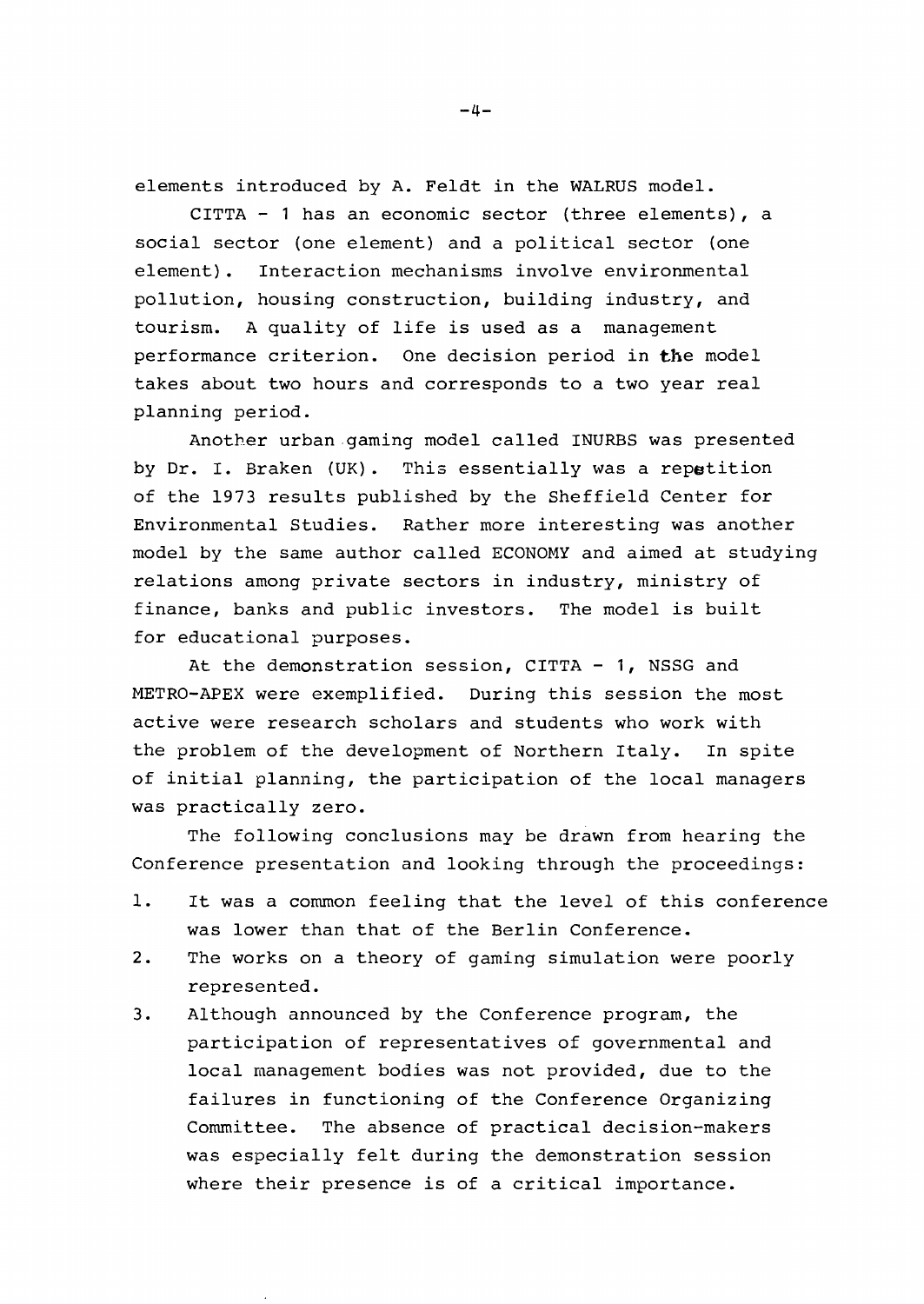elements introduced by A. Feldt in the WALRUS model.

CITTA - 1 has an economic sector (three elements), a social sector (one element) and <sup>a</sup> political sector (one element) . Interaction mechanisms involve environmental pollution, housing construction, building industry, and tourism. <sup>A</sup> quality of life is used as <sup>a</sup> management performance criterion. One decision period in the model takes about two hours and corresponds to <sup>a</sup> two year real planning period.

Another urban gaming model called INURBS was presented by Dr. I. Braken (UK). This essentially was <sup>a</sup> repetition of the 1973 results published by the Sheffield Center for Environmental Studies. Rather more interesting was another model by the same author called ECONOMY and aimed at studying relations among private sectors in industry, ministry of finance, banks and public investors. The model is built for educational purposes.

At the demonstration session, CITTA - 1, NSSG and METRO-APEX were exemplified. During this session the most active were research scholars and students who work with the problem of the development of Northern Italy. In spite of initial planning, the participation of the local managers was practically zero.

The following conclusions may be drawn from hearing the Conference presentation and looking through the proceedings:

- 1. It was <sup>a</sup> common feeling that the level of this conference was lower than that of the Berlin Conference.
- 2. The works on a theory of gaming simulation were poorly represented.
- 3. Although announced by the Conference program, the participation of representatives of governmental and local management bodies was not provided, due to the failures in functioning of the Conference Organizing Committee. The absence of practical decision-makers was especially felt during the demonstration session where their presence is of <sup>a</sup> critical importance.

-4-